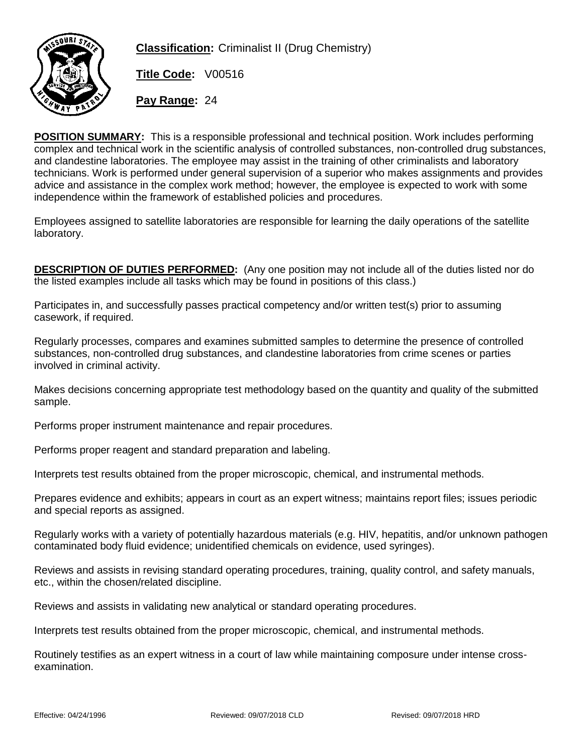

**Classification:** Criminalist II (Drug Chemistry)

**Title Code:** V00516

**Pay Range:** 24

**POSITION SUMMARY:** This is a responsible professional and technical position. Work includes performing complex and technical work in the scientific analysis of controlled substances, non-controlled drug substances, and clandestine laboratories. The employee may assist in the training of other criminalists and laboratory technicians. Work is performed under general supervision of a superior who makes assignments and provides advice and assistance in the complex work method; however, the employee is expected to work with some independence within the framework of established policies and procedures.

Employees assigned to satellite laboratories are responsible for learning the daily operations of the satellite laboratory.

**DESCRIPTION OF DUTIES PERFORMED:** (Any one position may not include all of the duties listed nor do the listed examples include all tasks which may be found in positions of this class.)

Participates in, and successfully passes practical competency and/or written test(s) prior to assuming casework, if required.

Regularly processes, compares and examines submitted samples to determine the presence of controlled substances, non-controlled drug substances, and clandestine laboratories from crime scenes or parties involved in criminal activity.

Makes decisions concerning appropriate test methodology based on the quantity and quality of the submitted sample.

Performs proper instrument maintenance and repair procedures.

Performs proper reagent and standard preparation and labeling.

Interprets test results obtained from the proper microscopic, chemical, and instrumental methods.

Prepares evidence and exhibits; appears in court as an expert witness; maintains report files; issues periodic and special reports as assigned.

Regularly works with a variety of potentially hazardous materials (e.g. HIV, hepatitis, and/or unknown pathogen contaminated body fluid evidence; unidentified chemicals on evidence, used syringes).

Reviews and assists in revising standard operating procedures, training, quality control, and safety manuals, etc., within the chosen/related discipline.

Reviews and assists in validating new analytical or standard operating procedures.

Interprets test results obtained from the proper microscopic, chemical, and instrumental methods.

Routinely testifies as an expert witness in a court of law while maintaining composure under intense crossexamination.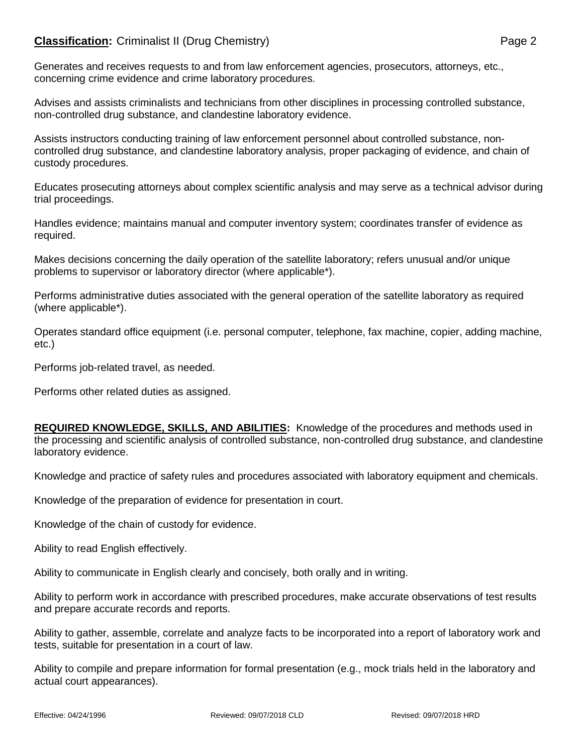## **Classification:** Criminalist II (Drug Chemistry) **Page 2** Page 2

Generates and receives requests to and from law enforcement agencies, prosecutors, attorneys, etc., concerning crime evidence and crime laboratory procedures.

Advises and assists criminalists and technicians from other disciplines in processing controlled substance, non-controlled drug substance, and clandestine laboratory evidence.

Assists instructors conducting training of law enforcement personnel about controlled substance, noncontrolled drug substance, and clandestine laboratory analysis, proper packaging of evidence, and chain of custody procedures.

Educates prosecuting attorneys about complex scientific analysis and may serve as a technical advisor during trial proceedings.

Handles evidence; maintains manual and computer inventory system; coordinates transfer of evidence as required.

Makes decisions concerning the daily operation of the satellite laboratory; refers unusual and/or unique problems to supervisor or laboratory director (where applicable\*).

Performs administrative duties associated with the general operation of the satellite laboratory as required (where applicable\*).

Operates standard office equipment (i.e. personal computer, telephone, fax machine, copier, adding machine, etc.)

Performs job-related travel, as needed.

Performs other related duties as assigned.

**REQUIRED KNOWLEDGE, SKILLS, AND ABILITIES:** Knowledge of the procedures and methods used in the processing and scientific analysis of controlled substance, non-controlled drug substance, and clandestine laboratory evidence.

Knowledge and practice of safety rules and procedures associated with laboratory equipment and chemicals.

Knowledge of the preparation of evidence for presentation in court.

Knowledge of the chain of custody for evidence.

Ability to read English effectively.

Ability to communicate in English clearly and concisely, both orally and in writing.

Ability to perform work in accordance with prescribed procedures, make accurate observations of test results and prepare accurate records and reports.

Ability to gather, assemble, correlate and analyze facts to be incorporated into a report of laboratory work and tests, suitable for presentation in a court of law.

Ability to compile and prepare information for formal presentation (e.g., mock trials held in the laboratory and actual court appearances).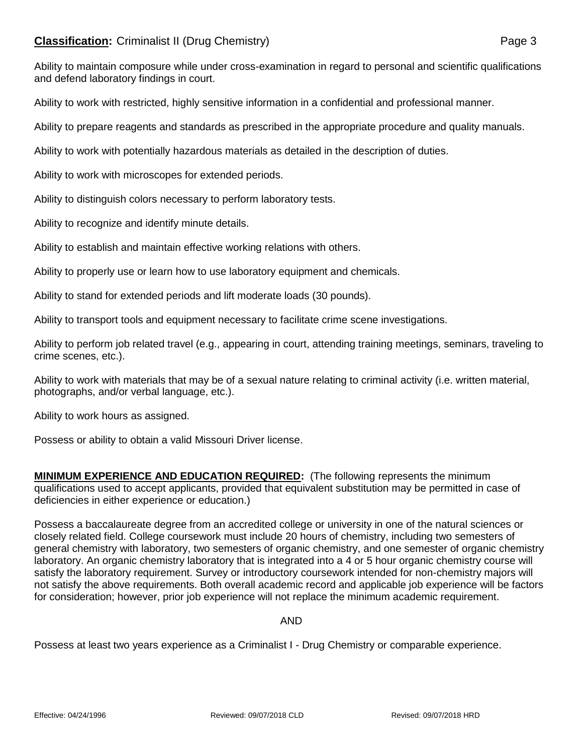## **Classification:** Criminalist II (Drug Chemistry) **Page 3** Page 3

Ability to maintain composure while under cross-examination in regard to personal and scientific qualifications and defend laboratory findings in court.

Ability to work with restricted, highly sensitive information in a confidential and professional manner.

Ability to prepare reagents and standards as prescribed in the appropriate procedure and quality manuals.

Ability to work with potentially hazardous materials as detailed in the description of duties.

Ability to work with microscopes for extended periods.

Ability to distinguish colors necessary to perform laboratory tests.

Ability to recognize and identify minute details.

Ability to establish and maintain effective working relations with others.

Ability to properly use or learn how to use laboratory equipment and chemicals.

Ability to stand for extended periods and lift moderate loads (30 pounds).

Ability to transport tools and equipment necessary to facilitate crime scene investigations.

Ability to perform job related travel (e.g., appearing in court, attending training meetings, seminars, traveling to crime scenes, etc.).

Ability to work with materials that may be of a sexual nature relating to criminal activity (i.e. written material, photographs, and/or verbal language, etc.).

Ability to work hours as assigned.

Possess or ability to obtain a valid Missouri Driver license.

**MINIMUM EXPERIENCE AND EDUCATION REQUIRED:** (The following represents the minimum qualifications used to accept applicants, provided that equivalent substitution may be permitted in case of deficiencies in either experience or education.)

Possess a baccalaureate degree from an accredited college or university in one of the natural sciences or closely related field. College coursework must include 20 hours of chemistry, including two semesters of general chemistry with laboratory, two semesters of organic chemistry, and one semester of organic chemistry laboratory. An organic chemistry laboratory that is integrated into a 4 or 5 hour organic chemistry course will satisfy the laboratory requirement. Survey or introductory coursework intended for non-chemistry majors will not satisfy the above requirements. Both overall academic record and applicable job experience will be factors for consideration; however, prior job experience will not replace the minimum academic requirement.

AND

Possess at least two years experience as a Criminalist I - Drug Chemistry or comparable experience.